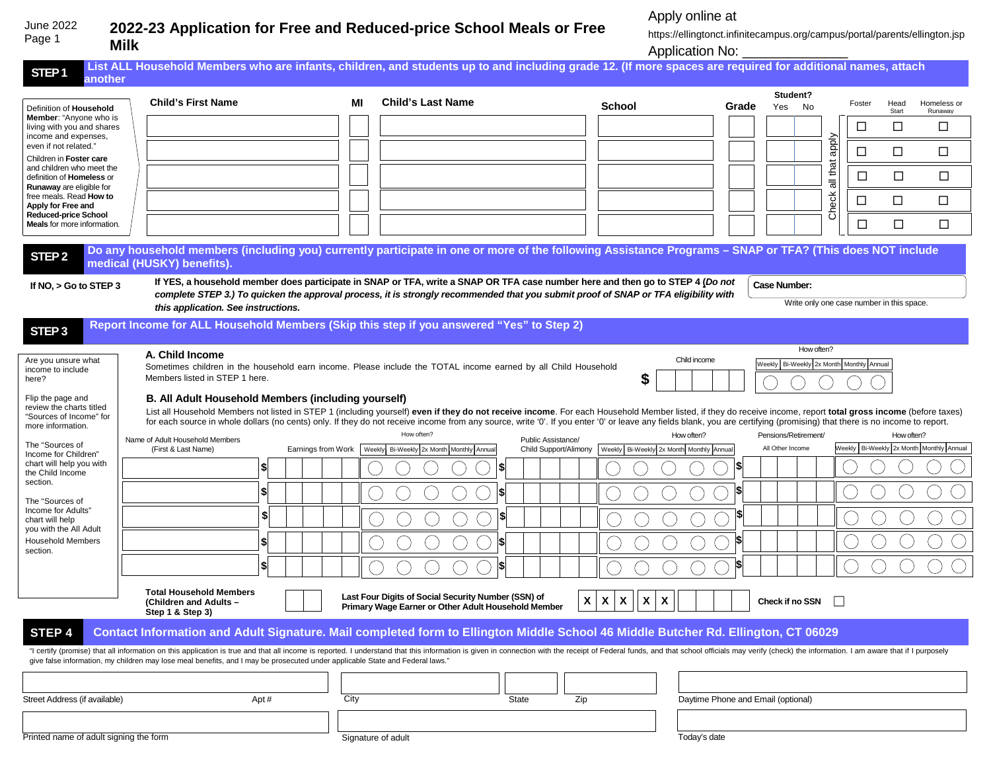## **2022-23 Application for Free and Reduced-price School Meals or Free Milk** June 2022 Page 1

Apply online at

https://ellingtonct.infinitecampus.org/campus/portal/parents/ellington.jsp Application No: \_\_\_\_\_\_\_\_\_\_\_\_\_\_\_\_\_

| STEP <sub>1</sub><br>another                                                                                                                                                                                                                         | List ALL Household Members who are infants, children, and students up to and including grade 12. (If more spaces are required for additional names, attach                                                                                                                                                                                                     |                    |                                                     |                    |                                                                  |                                    |                      |                                           |        |            |                                          |
|------------------------------------------------------------------------------------------------------------------------------------------------------------------------------------------------------------------------------------------------------|----------------------------------------------------------------------------------------------------------------------------------------------------------------------------------------------------------------------------------------------------------------------------------------------------------------------------------------------------------------|--------------------|-----------------------------------------------------|--------------------|------------------------------------------------------------------|------------------------------------|----------------------|-------------------------------------------|--------|------------|------------------------------------------|
|                                                                                                                                                                                                                                                      |                                                                                                                                                                                                                                                                                                                                                                |                    |                                                     |                    |                                                                  |                                    | Student?             |                                           |        |            |                                          |
|                                                                                                                                                                                                                                                      | <b>Child's First Name</b>                                                                                                                                                                                                                                                                                                                                      | МI                 | <b>Child's Last Name</b>                            |                    | <b>School</b>                                                    | Grade                              | Yes                  | No                                        | Foster | Head       | Homeless or                              |
| Definition of Household<br><b>Member:</b> "Anyone who is                                                                                                                                                                                             |                                                                                                                                                                                                                                                                                                                                                                |                    |                                                     |                    |                                                                  |                                    |                      |                                           |        | Start      | Runaway                                  |
| living with you and shares                                                                                                                                                                                                                           |                                                                                                                                                                                                                                                                                                                                                                |                    |                                                     |                    |                                                                  |                                    |                      |                                           | □      | □          | □                                        |
| income and expenses,                                                                                                                                                                                                                                 |                                                                                                                                                                                                                                                                                                                                                                |                    |                                                     |                    |                                                                  |                                    |                      |                                           |        |            |                                          |
| even if not related."                                                                                                                                                                                                                                |                                                                                                                                                                                                                                                                                                                                                                |                    |                                                     |                    |                                                                  |                                    |                      | Aldde                                     | □      | $\Box$     | $\Box$                                   |
| Children in Foster care<br>and children who meet the                                                                                                                                                                                                 |                                                                                                                                                                                                                                                                                                                                                                |                    |                                                     |                    |                                                                  |                                    |                      | that                                      |        |            |                                          |
| definition of Homeless or                                                                                                                                                                                                                            |                                                                                                                                                                                                                                                                                                                                                                |                    |                                                     |                    |                                                                  |                                    |                      |                                           | □      | □          | $\Box$                                   |
| Runaway are eligible for                                                                                                                                                                                                                             |                                                                                                                                                                                                                                                                                                                                                                |                    |                                                     |                    |                                                                  |                                    |                      | $\overline{\overline{a}}$                 |        |            |                                          |
| free meals. Read How to<br>Apply for Free and                                                                                                                                                                                                        |                                                                                                                                                                                                                                                                                                                                                                |                    |                                                     |                    |                                                                  |                                    |                      |                                           | ⊔      | $\Box$     | □                                        |
| <b>Reduced-price School</b>                                                                                                                                                                                                                          |                                                                                                                                                                                                                                                                                                                                                                |                    |                                                     |                    |                                                                  |                                    |                      | Check                                     |        |            |                                          |
| <b>Meals</b> for more information.                                                                                                                                                                                                                   |                                                                                                                                                                                                                                                                                                                                                                |                    |                                                     |                    |                                                                  |                                    |                      |                                           | $\Box$ | □          | $\Box$                                   |
|                                                                                                                                                                                                                                                      |                                                                                                                                                                                                                                                                                                                                                                |                    |                                                     |                    |                                                                  |                                    |                      |                                           |        |            |                                          |
| STEP <sub>2</sub>                                                                                                                                                                                                                                    | Do any household members (including you) currently participate in one or more of the following Assistance Programs - SNAP or TFA? (This does NOT include                                                                                                                                                                                                       |                    |                                                     |                    |                                                                  |                                    |                      |                                           |        |            |                                          |
|                                                                                                                                                                                                                                                      | medical (HUSKY) benefits).                                                                                                                                                                                                                                                                                                                                     |                    |                                                     |                    |                                                                  |                                    |                      |                                           |        |            |                                          |
|                                                                                                                                                                                                                                                      | If YES, a household member does participate in SNAP or TFA, write a SNAP OR TFA case number here and then go to STEP 4 (Do not                                                                                                                                                                                                                                 |                    |                                                     |                    |                                                                  |                                    | <b>Case Number:</b>  |                                           |        |            |                                          |
| If $NO$ , $>$ Go to STEP 3                                                                                                                                                                                                                           | complete STEP 3.) To quicken the approval process, it is strongly recommended that you submit proof of SNAP or TFA eligibility with                                                                                                                                                                                                                            |                    |                                                     |                    |                                                                  |                                    |                      |                                           |        |            |                                          |
|                                                                                                                                                                                                                                                      | this application. See instructions.                                                                                                                                                                                                                                                                                                                            |                    |                                                     |                    |                                                                  |                                    |                      | Write only one case number in this space. |        |            |                                          |
|                                                                                                                                                                                                                                                      | Report Income for ALL Household Members (Skip this step if you answered "Yes" to Step 2)                                                                                                                                                                                                                                                                       |                    |                                                     |                    |                                                                  |                                    |                      |                                           |        |            |                                          |
| STEP <sub>3</sub>                                                                                                                                                                                                                                    |                                                                                                                                                                                                                                                                                                                                                                |                    |                                                     |                    |                                                                  |                                    |                      |                                           |        |            |                                          |
|                                                                                                                                                                                                                                                      |                                                                                                                                                                                                                                                                                                                                                                |                    |                                                     |                    |                                                                  |                                    |                      | How often?                                |        |            |                                          |
| Are you unsure what                                                                                                                                                                                                                                  | A. Child Income                                                                                                                                                                                                                                                                                                                                                |                    |                                                     |                    | Child income                                                     |                                    |                      | Weekly Bi-Weekly 2x Month Monthly Annual  |        |            |                                          |
| income to include                                                                                                                                                                                                                                    | Sometimes children in the household earn income. Please include the TOTAL income earned by all Child Household                                                                                                                                                                                                                                                 |                    |                                                     |                    |                                                                  |                                    |                      |                                           |        |            |                                          |
| here?                                                                                                                                                                                                                                                | Members listed in STEP 1 here.                                                                                                                                                                                                                                                                                                                                 |                    |                                                     |                    | \$                                                               |                                    |                      |                                           |        |            |                                          |
| Flip the page and                                                                                                                                                                                                                                    | B. All Adult Household Members (including yourself)                                                                                                                                                                                                                                                                                                            |                    |                                                     |                    |                                                                  |                                    |                      |                                           |        |            |                                          |
| review the charts titled                                                                                                                                                                                                                             | List all Household Members not listed in STEP 1 (including yourself) even if they do not receive income. For each Household Member listed, if they do receive income, report total gross income (before taxes)                                                                                                                                                 |                    |                                                     |                    |                                                                  |                                    |                      |                                           |        |            |                                          |
| "Sources of Income" for<br>for each source in whole dollars (no cents) only. If they do not receive income from any source, write '0'. If you enter '0' or leave any fields blank, you are certifying (promising) that there is no income to report. |                                                                                                                                                                                                                                                                                                                                                                |                    |                                                     |                    |                                                                  |                                    |                      |                                           |        |            |                                          |
|                                                                                                                                                                                                                                                      |                                                                                                                                                                                                                                                                                                                                                                |                    |                                                     |                    |                                                                  |                                    |                      |                                           |        |            |                                          |
| more information.                                                                                                                                                                                                                                    |                                                                                                                                                                                                                                                                                                                                                                |                    | How often?                                          |                    | How often?                                                       |                                    | Pensions/Retirement/ |                                           |        | How often? |                                          |
| The "Sources of                                                                                                                                                                                                                                      | Name of Adult Household Members<br>(First & Last Name)                                                                                                                                                                                                                                                                                                         | Earnings from Work | Weekly Bi-Weekly 2x Month Monthly Annual            | Public Assistance/ | Child Support/Alimony   Weekly Bi-Weekly 2x Month Monthly Annual |                                    | All Other Income     |                                           |        |            | Weekly Bi-Weekly 2x Month Monthly Annual |
| Income for Children"                                                                                                                                                                                                                                 |                                                                                                                                                                                                                                                                                                                                                                |                    |                                                     |                    |                                                                  |                                    |                      |                                           |        |            |                                          |
| chart will help you with<br>the Child Income                                                                                                                                                                                                         | S                                                                                                                                                                                                                                                                                                                                                              |                    |                                                     |                    |                                                                  |                                    |                      |                                           |        |            |                                          |
| section.                                                                                                                                                                                                                                             |                                                                                                                                                                                                                                                                                                                                                                |                    |                                                     |                    |                                                                  |                                    |                      |                                           |        |            |                                          |
| The "Sources of                                                                                                                                                                                                                                      | \$                                                                                                                                                                                                                                                                                                                                                             |                    | S                                                   |                    |                                                                  |                                    |                      |                                           |        |            |                                          |
| Income for Adults"                                                                                                                                                                                                                                   |                                                                                                                                                                                                                                                                                                                                                                |                    |                                                     |                    |                                                                  |                                    |                      |                                           |        |            |                                          |
| chart will help                                                                                                                                                                                                                                      | S                                                                                                                                                                                                                                                                                                                                                              |                    |                                                     |                    |                                                                  | 1\$                                |                      |                                           |        |            |                                          |
| you with the All Adult                                                                                                                                                                                                                               |                                                                                                                                                                                                                                                                                                                                                                |                    |                                                     |                    |                                                                  |                                    |                      |                                           |        |            |                                          |
| <b>Household Members</b><br>section.                                                                                                                                                                                                                 | S                                                                                                                                                                                                                                                                                                                                                              |                    |                                                     |                    |                                                                  |                                    |                      |                                           |        |            |                                          |
|                                                                                                                                                                                                                                                      | S.                                                                                                                                                                                                                                                                                                                                                             |                    |                                                     |                    |                                                                  | IS.                                |                      |                                           |        |            |                                          |
|                                                                                                                                                                                                                                                      |                                                                                                                                                                                                                                                                                                                                                                |                    |                                                     |                    |                                                                  |                                    |                      |                                           |        |            |                                          |
|                                                                                                                                                                                                                                                      | <b>Total Household Members</b>                                                                                                                                                                                                                                                                                                                                 |                    |                                                     |                    |                                                                  |                                    |                      |                                           |        |            |                                          |
|                                                                                                                                                                                                                                                      | (Children and Adults -                                                                                                                                                                                                                                                                                                                                         |                    | Last Four Digits of Social Security Number (SSN) of | X                  | X<br>X<br>X<br>$\boldsymbol{\mathsf{x}}$                         |                                    | Check if no SSN      |                                           |        |            |                                          |
|                                                                                                                                                                                                                                                      | Step 1 & Step 3)                                                                                                                                                                                                                                                                                                                                               |                    | Primary Wage Earner or Other Adult Household Member |                    |                                                                  |                                    |                      |                                           |        |            |                                          |
|                                                                                                                                                                                                                                                      | Contact Information and Adult Signature. Mail completed form to Ellington Middle School 46 Middle Butcher Rd. Ellington, CT 06029                                                                                                                                                                                                                              |                    |                                                     |                    |                                                                  |                                    |                      |                                           |        |            |                                          |
| STEP 4                                                                                                                                                                                                                                               |                                                                                                                                                                                                                                                                                                                                                                |                    |                                                     |                    |                                                                  |                                    |                      |                                           |        |            |                                          |
|                                                                                                                                                                                                                                                      | "I certify (promise) that all information on this application is true and that all income is reported. I understand that this information is given in connection with the receipt of Federal funds, and that school officials<br>give false information, my children may lose meal benefits, and I may be prosecuted under applicable State and Federal laws." |                    |                                                     |                    |                                                                  |                                    |                      |                                           |        |            |                                          |
|                                                                                                                                                                                                                                                      |                                                                                                                                                                                                                                                                                                                                                                |                    |                                                     |                    |                                                                  |                                    |                      |                                           |        |            |                                          |
|                                                                                                                                                                                                                                                      |                                                                                                                                                                                                                                                                                                                                                                |                    |                                                     |                    |                                                                  |                                    |                      |                                           |        |            |                                          |
| Street Address (if available)                                                                                                                                                                                                                        | Apt#                                                                                                                                                                                                                                                                                                                                                           | City               |                                                     | Zip<br>State       |                                                                  | Daytime Phone and Email (optional) |                      |                                           |        |            |                                          |
|                                                                                                                                                                                                                                                      |                                                                                                                                                                                                                                                                                                                                                                |                    |                                                     |                    |                                                                  |                                    |                      |                                           |        |            |                                          |
|                                                                                                                                                                                                                                                      |                                                                                                                                                                                                                                                                                                                                                                |                    |                                                     |                    |                                                                  |                                    |                      |                                           |        |            |                                          |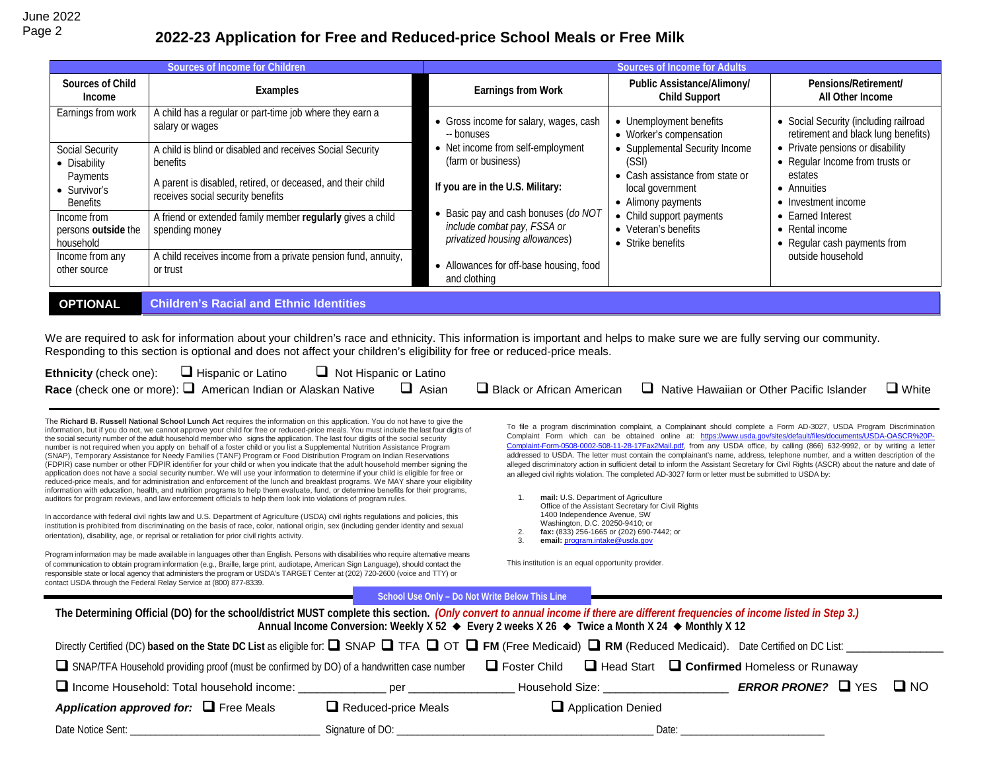## Page 2 **2022-23 Application for Free and Reduced-price School Meals or Free Milk**

|                                                 | Sources of Income for Children                                                                   | <b>Sources of Income for Adults</b>                                                                 |                                                                           |                                                                              |  |  |
|-------------------------------------------------|--------------------------------------------------------------------------------------------------|-----------------------------------------------------------------------------------------------------|---------------------------------------------------------------------------|------------------------------------------------------------------------------|--|--|
| Sources of Child<br>Income                      | Examples                                                                                         | Earnings from Work                                                                                  | Public Assistance/Alimony/<br><b>Child Support</b>                        | Pensions/Retirement/<br>All Other Income                                     |  |  |
| Earnings from work                              | A child has a regular or part-time job where they earn a<br>salary or wages                      | • Gross income for salary, wages, cash<br>-- bonuses                                                | • Unemployment benefits<br>• Worker's compensation                        | • Social Security (including railroad<br>retirement and black lung benefits) |  |  |
| <b>Social Security</b><br>• Disability          | A child is blind or disabled and receives Social Security<br>benefits                            | • Net income from self-employment<br>(farm or business)                                             | • Supplemental Security Income<br>(SSI)                                   | • Private pensions or disability<br>• Regular Income from trusts or          |  |  |
| Payments<br>• Survivor's<br><b>Benefits</b>     | A parent is disabled, retired, or deceased, and their child<br>receives social security benefits | If you are in the U.S. Military:                                                                    | • Cash assistance from state or<br>local government<br>• Alimony payments | estates<br>• Annuities<br>• Investment income                                |  |  |
| Income from<br>persons outside the<br>household | A friend or extended family member regularly gives a child<br>spending money                     | Basic pay and cash bonuses (do NOT<br>include combat pay, FSSA or<br>privatized housing allowances) | • Child support payments<br>• Veteran's benefits<br>• Strike benefits     | • Earned Interest<br>$\bullet$ Rental income<br>• Regular cash payments from |  |  |
| Income from any<br>other source                 | A child receives income from a private pension fund, annuity,<br>or trust                        | • Allowances for off-base housing, food<br>and clothing                                             |                                                                           | outside household                                                            |  |  |
| <b>OPTIONAL</b>                                 | <b>Children's Racial and Ethnic Identities</b>                                                   |                                                                                                     |                                                                           |                                                                              |  |  |

We are required to ask for information about your children's race and ethnicity. This information is important and helps to make sure we are fully serving our community. Responding to this section is optional and does not affect your children's eligibility for free or reduced-price meals.

| <b>Ethnicity</b> (check one): $\Box$ Hispanic or Latino |                                                                                  | $\Box$ Not Hispanic or Latino |              |                                                                                   |              |
|---------------------------------------------------------|----------------------------------------------------------------------------------|-------------------------------|--------------|-----------------------------------------------------------------------------------|--------------|
|                                                         | <b>Race</b> (check one or more): $\Box$ American Indian or Alaskan Native $\Box$ |                               | $\Box$ Asian | $\Box$ Black or African American $\Box$ Native Hawaiian or Other Pacific Islander | $\Box$ White |

The **Richard B. Russell National School Lunch Act** requires the information on this application. You do not have to give the information, but if you do not, we cannot approve your child for free or reduced-price meals. You must include the last four digits of the social security number of the adult household member who signs the application. The last four digits of the social security number is not required when you apply on behalf of a foster child or you list a Supplemental Nutrition Assistance Program (SNAP), Temporary Assistance for Needy Families (TANF) Program or Food Distribution Program on Indian Reservations (FDPIR) case number or other FDPIR identifier for your child or when you indicate that the adult household member signing the application does not have a social security number. We will use your information to determine if your child is eligible for free or reduced-price meals, and for administration and enforcement of the lunch and breakfast programs. We MAY share your eligibility information with education, health, and nutrition programs to help them evaluate, fund, or determine benefits for their programs, auditors for program reviews, and law enforcement officials to help them look into violations of program rules.

In accordance with federal civil rights law and U.S. Department of Agriculture (USDA) civil rights regulations and policies, this institution is prohibited from discriminating on the basis of race, color, national origin, sex (including gender identity and sexual orientation), disability, age, or reprisal or retaliation for prior civil rights activity.

Program information may be made available in languages other than English. Persons with disabilities who require alternative means of communication to obtain program information (e.g., Braille, large print, audiotape, American Sign Language), should contact the responsible state or local agency that administers the program or USDA's TARGET Center at (202) 720-2600 (voice and TTY) or contact USDA through the Federal Relay Service at (800) 877-8339.

To file a program discrimination complaint, a Complainant should complete a Form AD-3027, USDA Program Discrimination Complaint Form which can be obtained online at: [https://www.usda.gov/sites/default/files/documents/USDA-OASCR%20P-](https://www.usda.gov/sites/default/files/documents/USDA-OASCR%20P-Complaint-Form-0508-0002-508-11-28-17Fax2Mail.pdf)[Complaint-Form-0508-0002-508-11-28-17Fax2Mail.pdf,](https://www.usda.gov/sites/default/files/documents/USDA-OASCR%20P-Complaint-Form-0508-0002-508-11-28-17Fax2Mail.pdf) from any USDA office, by calling (866) 632-9992, or by writing a letter addressed to USDA. The letter must contain the complainant's name, address, telephone number, and a written description of the alleged discriminatory action in sufficient detail to inform the Assistant Secretary for Civil Rights (ASCR) about the nature and date of an alleged civil rights violation. The completed AD-3027 form or letter must be submitted to USDA by:

1. **mail:** U.S. Department of Agriculture Office of the Assistant Secretary for Civil Rights 1400 Independence Avenue, SW Washington, D.C. 20250-9410; or

2. **fax:** (833) 256-1665 or (202) 690-7442; or email: [program.intake@usda.gov](http://mailto:program.intake@usda.gov/)

This institution is an equal opportunity provider.

|                                                                                                                                                                                                                                                                                                            | School Use Only - Do Not Write Below This Line |  |                               |       |                                |           |  |
|------------------------------------------------------------------------------------------------------------------------------------------------------------------------------------------------------------------------------------------------------------------------------------------------------------|------------------------------------------------|--|-------------------------------|-------|--------------------------------|-----------|--|
| The Determining Official (DO) for the school/district MUST complete this section. (Only convert to annual income if there are different frequencies of income listed in Step 3.)<br>Annual Income Conversion: Weekly X 52 $\bullet$ Every 2 weeks X 26 $\bullet$ Twice a Month X 24 $\bullet$ Monthly X 12 |                                                |  |                               |       |                                |           |  |
| Directly Certified (DC) based on the State DC List as eligible for: $\square$ SNAP $\square$ TFA $\square$ OT $\square$ FM (Free Medicaid) $\square$ RM (Reduced Medicaid). Date Certified on DC List:                                                                                                     |                                                |  |                               |       |                                |           |  |
| $\Box$ Foster Child $\Box$ Head Start $\Box$ Confirmed Homeless or Runaway<br>SNAP/TFA Household providing proof (must be confirmed by DO) of a handwritten case number                                                                                                                                    |                                                |  |                               |       |                                |           |  |
| $\Box$ Income Household: Total household income:                                                                                                                                                                                                                                                           | per                                            |  | Household Size: New York 1999 |       | <b>ERROR PRONE?</b> $\Box$ YES | $\Box$ NO |  |
| Application approved for: $\Box$ Free Meals                                                                                                                                                                                                                                                                | $\Box$ Reduced-price Meals                     |  | Application Denied            |       |                                |           |  |
| Date Notice Sent:                                                                                                                                                                                                                                                                                          |                                                |  |                               | Date: |                                |           |  |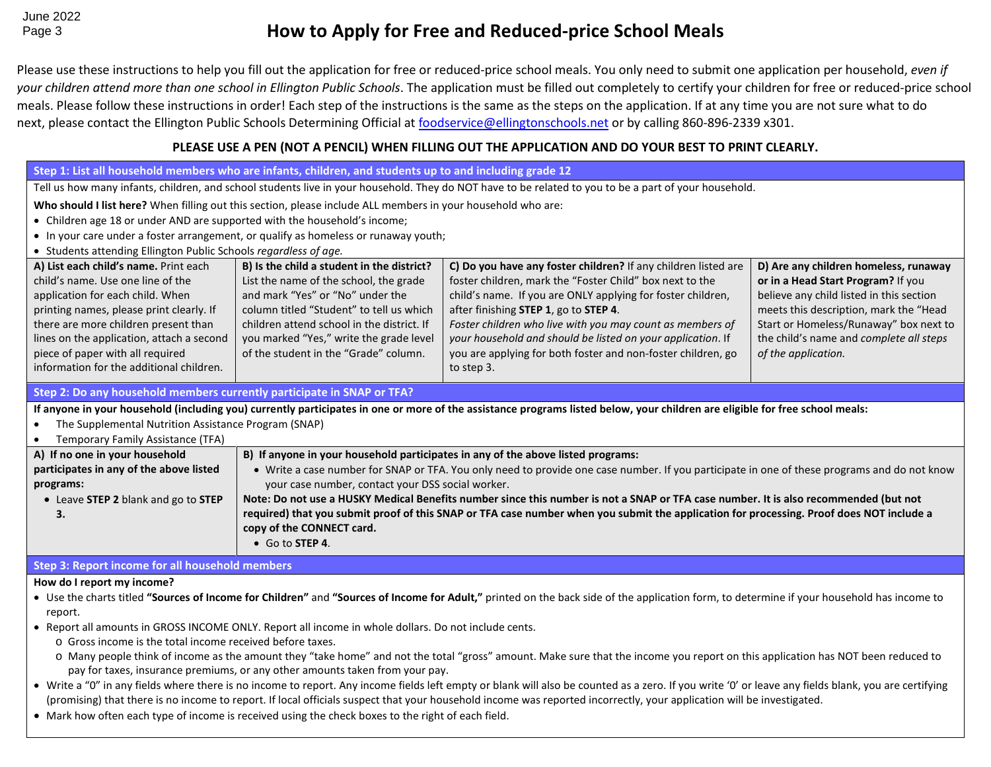## Page 3 **How to Apply for Free and Reduced-price School Meals**

Please use these instructions to help you fill out the application for free or reduced-price school meals. You only need to submit one application per household, *even if your children attend more than one school in Ellington Public Schools*. The application must be filled out completely to certify your children for free or reduced-price school meals. Please follow these instructions in order! Each step of the instructions is the same as the steps on the application. If at any time you are not sure what to do next, please contact the Ellington Public Schools Determining Official at [foodservice@ellingtonschools.net](mailto:foodservice@ellingtonschools.net) or by calling 860-896-2339 x301.

## **PLEASE USE A PEN (NOT A PENCIL) WHEN FILLING OUT THE APPLICATION AND DO YOUR BEST TO PRINT CLEARLY.**

| Step 1: List all household members who are infants, children, and students up to and including grade 12                                                                                    |                                                                                                                                                       |                                                                                                                                                                              |                                          |  |  |  |  |
|--------------------------------------------------------------------------------------------------------------------------------------------------------------------------------------------|-------------------------------------------------------------------------------------------------------------------------------------------------------|------------------------------------------------------------------------------------------------------------------------------------------------------------------------------|------------------------------------------|--|--|--|--|
|                                                                                                                                                                                            | Tell us how many infants, children, and school students live in your household. They do NOT have to be related to you to be a part of your household. |                                                                                                                                                                              |                                          |  |  |  |  |
|                                                                                                                                                                                            | Who should I list here? When filling out this section, please include ALL members in your household who are:                                          |                                                                                                                                                                              |                                          |  |  |  |  |
| • Children age 18 or under AND are supported with the household's income;                                                                                                                  |                                                                                                                                                       |                                                                                                                                                                              |                                          |  |  |  |  |
|                                                                                                                                                                                            | • In your care under a foster arrangement, or qualify as homeless or runaway youth;                                                                   |                                                                                                                                                                              |                                          |  |  |  |  |
| • Students attending Ellington Public Schools regardless of age.                                                                                                                           |                                                                                                                                                       |                                                                                                                                                                              |                                          |  |  |  |  |
| A) List each child's name. Print each                                                                                                                                                      | B) Is the child a student in the district?                                                                                                            | C) Do you have any foster children? If any children listed are                                                                                                               | D) Are any children homeless, runaway    |  |  |  |  |
| child's name. Use one line of the                                                                                                                                                          | List the name of the school, the grade                                                                                                                | foster children, mark the "Foster Child" box next to the                                                                                                                     | or in a Head Start Program? If you       |  |  |  |  |
| application for each child. When                                                                                                                                                           | and mark "Yes" or "No" under the                                                                                                                      | child's name. If you are ONLY applying for foster children,                                                                                                                  | believe any child listed in this section |  |  |  |  |
| printing names, please print clearly. If                                                                                                                                                   | column titled "Student" to tell us which                                                                                                              | after finishing STEP 1, go to STEP 4.                                                                                                                                        | meets this description, mark the "Head   |  |  |  |  |
| there are more children present than                                                                                                                                                       | children attend school in the district. If                                                                                                            | Foster children who live with you may count as members of                                                                                                                    | Start or Homeless/Runaway" box next to   |  |  |  |  |
| lines on the application, attach a second                                                                                                                                                  | you marked "Yes," write the grade level<br>of the student in the "Grade" column.                                                                      | your household and should be listed on your application. If                                                                                                                  | the child's name and complete all steps  |  |  |  |  |
| piece of paper with all required<br>information for the additional children.                                                                                                               |                                                                                                                                                       | you are applying for both foster and non-foster children, go<br>to step 3.                                                                                                   | of the application.                      |  |  |  |  |
|                                                                                                                                                                                            |                                                                                                                                                       |                                                                                                                                                                              |                                          |  |  |  |  |
| Step 2: Do any household members currently participate in SNAP or TFA?                                                                                                                     |                                                                                                                                                       |                                                                                                                                                                              |                                          |  |  |  |  |
|                                                                                                                                                                                            |                                                                                                                                                       | If anyone in your household (including you) currently participates in one or more of the assistance programs listed below, your children are eligible for free school meals: |                                          |  |  |  |  |
| The Supplemental Nutrition Assistance Program (SNAP)                                                                                                                                       |                                                                                                                                                       |                                                                                                                                                                              |                                          |  |  |  |  |
| Temporary Family Assistance (TFA)                                                                                                                                                          |                                                                                                                                                       |                                                                                                                                                                              |                                          |  |  |  |  |
| B) If anyone in your household participates in any of the above listed programs:<br>A) If no one in your household                                                                         |                                                                                                                                                       |                                                                                                                                                                              |                                          |  |  |  |  |
| participates in any of the above listed<br>• Write a case number for SNAP or TFA. You only need to provide one case number. If you participate in one of these programs and do not know    |                                                                                                                                                       |                                                                                                                                                                              |                                          |  |  |  |  |
|                                                                                                                                                                                            | your case number, contact your DSS social worker.<br>programs:                                                                                        |                                                                                                                                                                              |                                          |  |  |  |  |
| Note: Do not use a HUSKY Medical Benefits number since this number is not a SNAP or TFA case number. It is also recommended (but not<br>• Leave STEP 2 blank and go to STEP                |                                                                                                                                                       |                                                                                                                                                                              |                                          |  |  |  |  |
| required) that you submit proof of this SNAP or TFA case number when you submit the application for processing. Proof does NOT include a<br>3.                                             |                                                                                                                                                       |                                                                                                                                                                              |                                          |  |  |  |  |
|                                                                                                                                                                                            | copy of the CONNECT card.<br>• Go to STEP 4.                                                                                                          |                                                                                                                                                                              |                                          |  |  |  |  |
|                                                                                                                                                                                            |                                                                                                                                                       |                                                                                                                                                                              |                                          |  |  |  |  |
| Step 3: Report income for all household members                                                                                                                                            |                                                                                                                                                       |                                                                                                                                                                              |                                          |  |  |  |  |
| How do I report my income?                                                                                                                                                                 |                                                                                                                                                       |                                                                                                                                                                              |                                          |  |  |  |  |
| . Use the charts titled "Sources of Income for Children" and "Sources of Income for Adult," printed on the back side of the application form, to determine if your household has income to |                                                                                                                                                       |                                                                                                                                                                              |                                          |  |  |  |  |
| report.                                                                                                                                                                                    |                                                                                                                                                       |                                                                                                                                                                              |                                          |  |  |  |  |

- Report all amounts in GROSS INCOME ONLY. Report all income in whole dollars. Do not include cents.
	- o Gross income is the total income received before taxes.
	- o Many people think of income as the amount they "take home" and not the total "gross" amount. Make sure that the income you report on this application has NOT been reduced to pay for taxes, insurance premiums, or any other amounts taken from your pay.
- Write a "0" in any fields where there is no income to report. Any income fields left empty or blank will also be counted as a zero. If you write '0' or leave any fields blank, you are certifying (promising) that there is no income to report. If local officials suspect that your household income was reported incorrectly, your application will be investigated.
- Mark how often each type of income is received using the check boxes to the right of each field.